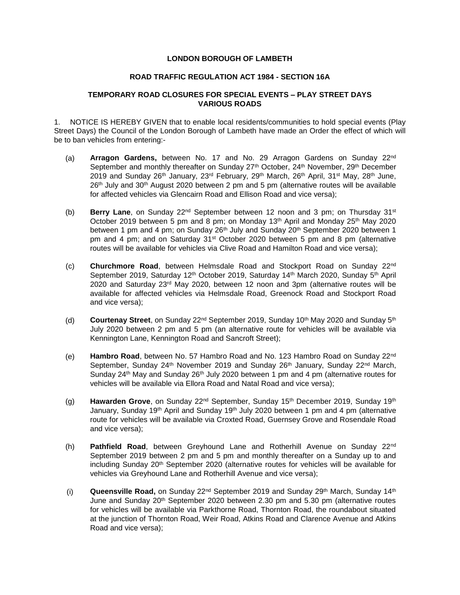## **LONDON BOROUGH OF LAMBETH**

## **ROAD TRAFFIC REGULATION ACT 1984 - SECTION 16A**

## **TEMPORARY ROAD CLOSURES FOR SPECIAL EVENTS – PLAY STREET DAYS VARIOUS ROADS**

1. NOTICE IS HEREBY GIVEN that to enable local residents/communities to hold special events (Play Street Days) the Council of the London Borough of Lambeth have made an Order the effect of which will be to ban vehicles from entering:-

- (a) **Arragon Gardens,** between No. 17 and No. 29 Arragon Gardens on Sunday 22nd September and monthly thereafter on Sunday 27<sup>th</sup> October, 24<sup>th</sup> November, 29<sup>th</sup> December 2019 and Sunday 26<sup>th</sup> January, 23<sup>rd</sup> February, 29<sup>th</sup> March, 26<sup>th</sup> April, 31<sup>st</sup> May, 28<sup>th</sup> June,  $26<sup>th</sup>$  July and  $30<sup>th</sup>$  August 2020 between 2 pm and 5 pm (alternative routes will be available for affected vehicles via Glencairn Road and Ellison Road and vice versa);
- (b) **Berry Lane**, on Sunday 22nd September between 12 noon and 3 pm; on Thursday 31st October 2019 between 5 pm and 8 pm; on Monday 13<sup>th</sup> April and Monday 25<sup>th</sup> May 2020 between 1 pm and 4 pm; on Sunday 26<sup>th</sup> July and Sunday 20<sup>th</sup> September 2020 between 1 pm and 4 pm; and on Saturday 31<sup>st</sup> October 2020 between 5 pm and 8 pm (alternative routes will be available for vehicles via Clive Road and Hamilton Road and vice versa);
- (c) **Churchmore Road**, between Helmsdale Road and Stockport Road on Sunday 22nd September 2019, Saturday 12<sup>th</sup> October 2019, Saturday 14<sup>th</sup> March 2020, Sunday 5<sup>th</sup> April 2020 and Saturday 23rd May 2020, between 12 noon and 3pm (alternative routes will be available for affected vehicles via Helmsdale Road, Greenock Road and Stockport Road and vice versa);
- (d) **Courtenay Street**, on Sunday 22nd September 2019, Sunday 10th May 2020 and Sunday 5th July 2020 between 2 pm and 5 pm (an alternative route for vehicles will be available via Kennington Lane, Kennington Road and Sancroft Street);
- (e) **Hambro Road**, between No. 57 Hambro Road and No. 123 Hambro Road on Sunday 22nd September, Sunday 24<sup>th</sup> November 2019 and Sunday 26<sup>th</sup> January, Sunday 22<sup>nd</sup> March, Sunday 24<sup>th</sup> May and Sunday 26<sup>th</sup> July 2020 between 1 pm and 4 pm (alternative routes for vehicles will be available via Ellora Road and Natal Road and vice versa);
- (g) **Hawarden Grove**, on Sunday 22nd September, Sunday 15th December 2019, Sunday 19th January, Sunday 19<sup>th</sup> April and Sunday 19<sup>th</sup> July 2020 between 1 pm and 4 pm (alternative route for vehicles will be available via Croxted Road, Guernsey Grove and Rosendale Road and vice versa);
- (h) **Pathfield Road**, between Greyhound Lane and Rotherhill Avenue on Sunday 22nd September 2019 between 2 pm and 5 pm and monthly thereafter on a Sunday up to and including Sunday 20th September 2020 (alternative routes for vehicles will be available for vehicles via Greyhound Lane and Rotherhill Avenue and vice versa);
- (i) **Queensville Road,** on Sunday 22<sup>nd</sup> September 2019 and Sunday 29<sup>th</sup> March, Sunday 14<sup>th</sup> June and Sunday 20th September 2020 between 2.30 pm and 5.30 pm (alternative routes for vehicles will be available via Parkthorne Road, Thornton Road, the roundabout situated at the junction of Thornton Road, Weir Road, Atkins Road and Clarence Avenue and Atkins Road and vice versa);